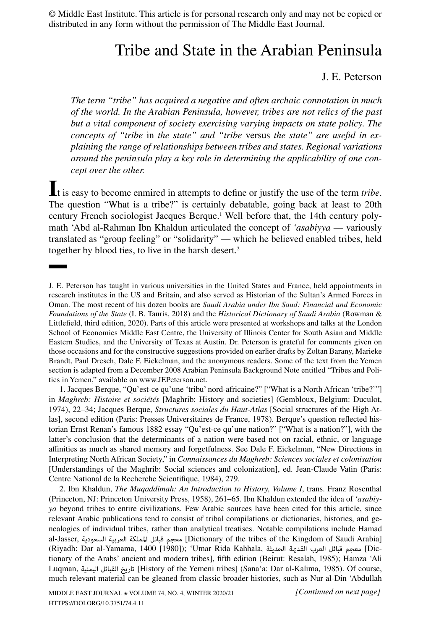© Middle East Institute. This article is for personal research only and may not be copied or distributed in any form without the permission of The Middle East Journal.

# Tribe and State in the Arabian Peninsula

# J. E. Peterson

*The term "tribe" has acquired a negative and often archaic connotation in much of the world. In the Arabian Peninsula, however, tribes are not relics of the past but a vital component of society exercising varying impacts on state policy. The concepts of "tribe* in *the state" and "tribe* versus *the state" are useful in explaining the range of relationships between tribes and states. Regional variations around the peninsula play a key role in determining the applicability of one concept over the other.*

**I**t is easy to become enmired in attempts to define or justify the use of the term *tribe*. The question "What is a tribe?" is certainly debatable, going back at least to 20th century French sociologist Jacques Berque.<sup>1</sup> Well before that, the 14th century polymath 'Abd al-Rahman Ibn Khaldun articulated the concept of *'asabiyya* — variously translated as "group feeling" or "solidarity" — which he believed enabled tribes, held together by blood ties, to live in the harsh desert.<sup>2</sup>

1. Jacques Berque, "Qu'est-ce qu'une 'tribu' nord-africaine?" ["What is a North African 'tribe?'"] in *Maghreb: Histoire et sociétés* [Maghrib: History and societies] (Gembloux, Belgium: Duculot, 1974), 22–34; Jacques Berque, *[Structures sociales du Haut-Atlas](https://www.puf.com/content/Structures_sociales_du_Haut-Atlas)* [Social structures of the High Atlas], second edition (Paris: Presses Universitaires de France, 1978). Berque's question reflected historian Ernst Renan's famous 1882 essay "Qu'est-ce qu'une nation?" ["What is a nation?"], with the latter's conclusion that the determinants of a nation were based not on racial, ethnic, or language affinities as much as shared memory and forgetfulness. See Dale F. Eickelman, "New Directions in Interpreting North African Society," in *[Connaissances du Maghreb: Sciences sociales et colonisation](https://www.cnrseditions.fr/catalogue/sciences-politiques-et-sociologie/connaissances-du-maghreb/)* [Understandings of the Maghrib: Social sciences and colonization], ed. Jean-Claude Vatin (Paris: Centre National de la Recherche Scientifique, 1984), 279.

2. Ibn Khaldun, *[The Muqaddimah: An Introduction to History](https://press.princeton.edu/books/paperback/9780691166285/the-muqaddimah), Volume I*, trans. Franz Rosenthal (Princeton, NJ: Princeton University Press, 1958), 261–65. Ibn Khaldun extended the idea of *'asabiyya* beyond tribes to entire civilizations. Few Arabic sources have been cited for this article, since relevant Arabic publications tend to consist of tribal compilations or dictionaries, histories, and genealogies of individual tribes, rather than analytical treatises. Notable compilations include Hamad al-Jasser, السعودية العربية اململكة قبائل معجم] Dictionary of the tribes of the Kingdom of Saudi Arabia] (Riyadh: Dar al-Yamama, 1400 [1980]); 'Umar Rida Kahhala, الحديثة القدمية العرب قبائل معجم] Dictionary of the Arabs' ancient and modern tribes], fifth edition (Beirut: Resalah, 1985); Hamza 'Ali Luqman, اليمنية القبائل تاريخ] History of the Yemeni tribes] (Sana'a: Dar al-Kalima, 1985). Of course, much relevant material can be gleaned from classic broader histories, such as Nur al-Din 'Abdullah

J. E. Peterson has taught in various universities in the United States and France, held appointments in research institutes in the US and Britain, and also served as Historian of the Sultan's Armed Forces in Oman. The most recent of his dozen books are *[Saudi Arabia under Ibn Saud: Financial and Economic](https://www.bloomsbury.com/us/saudi-arabia-under-ibn-saud-9781784539009/) [Foundations of the State](https://www.bloomsbury.com/us/saudi-arabia-under-ibn-saud-9781784539009/)* (I. B. Tauris, 2018) and the *[Historical Dictionary of Saudi Arabia](https://rowman.com/ISBN/9781538119792/Historical-Dictionary-of-Saudi-Arabia-Third-Edition)* (Rowman & Littlefield, third edition, 2020). Parts of this article were presented at workshops and talks at the London School of Economics Middle East Centre, the University of Illinois Center for South Asian and Middle Eastern Studies, and the University of Texas at Austin. Dr. Peterson is grateful for comments given on those occasions and for the constructive suggestions provided on earlier drafts by Zoltan Barany, Marieke Brandt, Paul Dresch, Dale F. Eickelman, and the anonymous readers. Some of the text from the Yemen section is adapted from a December 2008 Arabian Peninsula Background Note entitled "Tribes and Politics in Yemen," available on [www.JEPeterson.net](http://www.JEPeterson.net).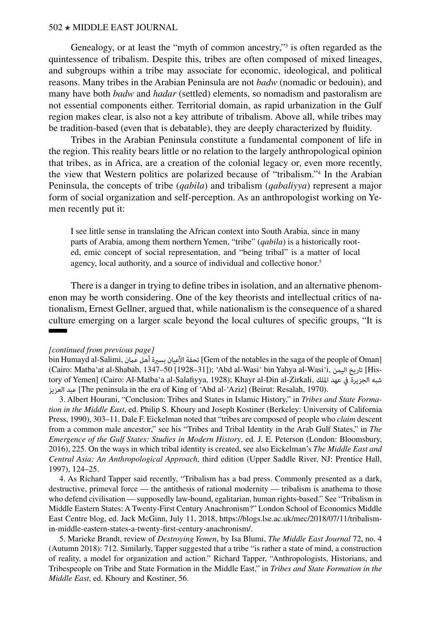Genealogy, or at least the "myth of common ancestry,"<sup>3</sup> is often regarded as the quintessence of tribalism. Despite this, tribes are often composed of mixed lineages, and subgroups within a tribe may associate for economic, ideological, and political reasons. Many tribes in the Arabian Peninsula are not *badw* (nomadic or bedouin), and many have both *badw* and *hadar* (settled) elements, so nomadism and pastoralism are not essential components either. Territorial domain, as rapid urbanization in the Gulf region makes clear, is also not a key attribute of tribalism. Above all, while tribes may be tradition-based (even that is debatable), they are deeply characterized by fluidity.

Tribes in the Arabian Peninsula constitute a fundamental component of life in the region. This reality bears little or no relation to the largely anthropological opinion that tribes, as in Africa, are a creation of the colonial legacy or, even more recently, the view that Western politics are polarized because of "tribalism."4 In the Arabian Peninsula, the concepts of tribe (*qabila*) and tribalism (*qabaliyya*) represent a major form of social organization and self-perception. As an anthropologist working on Yemen recently put it:

I see little sense in translating the African context into South Arabia, since in many parts of Arabia, among them northern Yemen, "tribe" (*qabila*) is a historically rooted, emic concept of social representation, and "being tribal" is a matter of local agency, local authority, and a source of individual and collective honor.<sup>5</sup>

There is a danger in trying to define tribes in isolation, and an alternative phenomenon may be worth considering. One of the key theorists and intellectual critics of nationalism, Ernest Gellner, argued that, while nationalism is the consequence of a shared culture emerging on a larger scale beyond the local cultures of specific groups, "It is

#### *[continued from previous page]*

bin Humayd al-Salimi, عامن أهل بسرية األعيان تحفة] Gem of the notables in the saga of the people of Oman] (Cairo: Matba'at al-Shabab, 1347–50 [1928–31]); 'Abd al-Wasi' bin Yahya al-Wasi'i, اليمن تاريخ] History of Yemen] (Cairo: Al-Matba'a al-Salafiyya, 1928); Khayr al-Din al-Zirkali, امللك عهد يف الجزيرة شبه العزيز عبد] The peninsula in the era of King of 'Abd al-'Aziz] (Beirut: Resalah, 1970).

3. Albert Hourani, "Conclusion: Tribes and States in Islamic History," in *[Tribes and State Forma](https://www.ucpress.edu/book/9780520070806/tribes-and-state-formation-in-the-middle-east)[tion in the Middle East](https://www.ucpress.edu/book/9780520070806/tribes-and-state-formation-in-the-middle-east)*, ed. Philip S. Khoury and Joseph Kostiner (Berkeley: University of California Press, 1990), 303–11. Dale F. Eickelman noted that "tribes are composed of people who *claim* descent from a common male ancestor," see his "Tribes and Tribal Identity in the Arab Gulf States," in *[The](https://www.bloomsbury.com/uk/the-emergence-of-the-gulf-states-9781472587619/) [Emergence of the Gulf States: Studies in Modern History](https://www.bloomsbury.com/uk/the-emergence-of-the-gulf-states-9781472587619/)*, ed. J. E. Peterson (London: Bloomsbury, 2016), 225. On the ways in which tribal identity is created, see also Eickelman's *[The Middle East and](https://www.pearson.com/us/higher-education/product/Eickelman-Middle-East-and-Central-Asia-The-An-Anthropological-Approach-3rd-Edition/9780131230194.html) [Central Asia: An Anthropological Approach](https://www.pearson.com/us/higher-education/product/Eickelman-Middle-East-and-Central-Asia-The-An-Anthropological-Approach-3rd-Edition/9780131230194.html)*, third edition (Upper Saddle River, NJ: Prentice Hall, 1997), 124–25.

4. As Richard Tapper said recently, "Tribalism has a bad press. Commonly presented as a dark, destructive, primeval force — the antithesis of rational modernity — tribalism is anathema to those who defend civilisation — supposedly law-bound, egalitarian, human rights-based." See "Tribalism in Middle Eastern States: A Twenty-First Century Anachronism?" London School of Economics Middle East Centre blog, ed. Jack McGinn, July 11, 2018, [https://blogs.lse.ac.uk/mec/2018/07/11/tribalism](https://blogs.lse.ac.uk/mec/2018/07/11/tribalism-in-middle-eastern-states-a-twenty-first-century-anachronism/)[in-middle-eastern-states-a-twenty-first-century-anachronism/](https://blogs.lse.ac.uk/mec/2018/07/11/tribalism-in-middle-eastern-states-a-twenty-first-century-anachronism/).

5. Marieke Brandt, review of *[Destroying Yemen](https://muse.jhu.edu/article/710930)*, by Isa Blumi, *The Middle East Journal* 72, no. 4 (Autumn 2018): 712. Similarly, Tapper suggested that a tribe "is rather a state of mind, a construction of reality, a model for organization and action." Richard Tapper, "Anthropologists, Historians, and Tribespeople on Tribe and State Formation in the Middle East," in *Tribes and State Formation in the Middle East*, ed. Khoury and Kostiner, 56.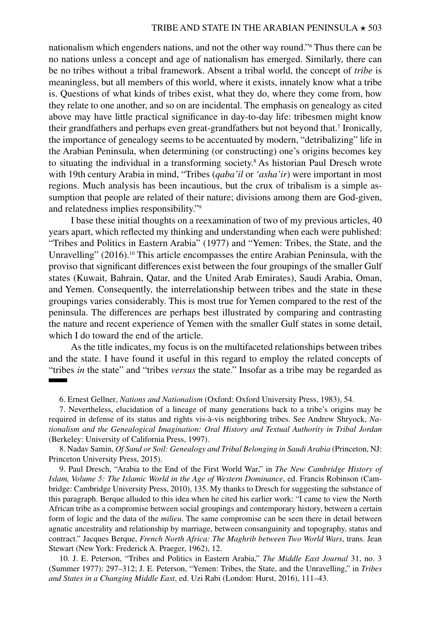nationalism which engenders nations, and not the other way round."6 Thus there can be no nations unless a concept and age of nationalism has emerged. Similarly, there can be no tribes without a tribal framework. Absent a tribal world, the concept of *tribe* is meaningless, but all members of this world, where it exists, innately know what a tribe is. Questions of what kinds of tribes exist, what they do, where they come from, how they relate to one another, and so on are incidental. The emphasis on genealogy as cited above may have little practical significance in day-to-day life: tribesmen might know their grandfathers and perhaps even great-grandfathers but not beyond that.<sup>7</sup> Ironically, the importance of genealogy seems to be accentuated by modern, "detribalizing" life in the Arabian Peninsula, when determining (or constructing) one's origins becomes key to situating the individual in a transforming society.8 As historian Paul Dresch wrote with 19th century Arabia in mind, "Tribes (*qaba'il* or *'asha'ir*) were important in most regions. Much analysis has been incautious, but the crux of tribalism is a simple assumption that people are related of their nature; divisions among them are God-given, and relatedness implies responsibility."9

I base these initial thoughts on a reexamination of two of my previous articles, 40 years apart, which reflected my thinking and understanding when each were published: "Tribes and Politics in Eastern Arabia" (1977) and "Yemen: Tribes, the State, and the Unravelling"  $(2016)$ .<sup>10</sup> This article encompasses the entire Arabian Peninsula, with the proviso that significant differences exist between the four groupings of the smaller Gulf states (Kuwait, Bahrain, Qatar, and the United Arab Emirates), Saudi Arabia, Oman, and Yemen. Consequently, the interrelationship between tribes and the state in these groupings varies considerably. This is most true for Yemen compared to the rest of the peninsula. The differences are perhaps best illustrated by comparing and contrasting the nature and recent experience of Yemen with the smaller Gulf states in some detail, which I do toward the end of the article.

As the title indicates, my focus is on the multifaceted relationships between tribes and the state. I have found it useful in this regard to employ the related concepts of "tribes *in* the state" and "tribes *versus* the state." Insofar as a tribe may be regarded as

<sup>6.</sup> Ernest Gellner, *[Nations and Nationalism](https://www.cornellpress.cornell.edu/book/9780801475009/)* (Oxford: Oxford University Press, 1983), 54.

<sup>7.</sup> Nevertheless, elucidation of a lineage of many generations back to a tribe's origins may be required in defense of its status and rights vis-à-vis neighboring tribes. See Andrew Shryock, *[Na](https://www.ucpress.edu/book/9780520201019/nationalism-and-the-genealogical-imagination)[tionalism and the Genealogical Imagination: Oral History and Textual Authority in Tribal Jordan](https://www.ucpress.edu/book/9780520201019/nationalism-and-the-genealogical-imagination)* (Berkeley: University of California Press, 1997).

<sup>8.</sup> Nadav Samin, *[Of Sand or Soil: Genealogy and Tribal Belonging in Saudi Arabia](https://press.princeton.edu/books/hardcover/9780691164441/of-sand-or-soil)* (Princeton, NJ: Princeton University Press, 2015).

<sup>9.</sup> Paul Dresch, "Arabia to the End of the First World War," in *[The New Cambridge History of](https://doi.org/10.1017/CHOL9780521838269) Islam, Volume 5: [The Islamic World in the Age of Western Dominance](https://doi.org/10.1017/CHOL9780521838269)*, ed. Francis Robinson (Cambridge: Cambridge University Press, 2010), 135. My thanks to Dresch for suggesting the substance of this paragraph. Berque alluded to this idea when he cited his earlier work: "I came to view the North African tribe as a compromise between social groupings and contemporary history, between a certain form of logic and the data of the *milieu*. The same compromise can be seen there in detail between agnatic ancestrality and relationship by marriage, between consanguinity and topography, status and contract." Jacques Berque, *French North Africa: The Maghrib between Two World Wars*, trans. Jean Stewart (New York: Frederick A. Praeger, 1962), 12.

<sup>10.</sup> J. E. Peterson, "[Tribes and Politics in Eastern Arabia,](http://www.jstor.org/stable/4325646)" *The Middle East Journal* 31, no. 3 (Summer 1977): 297–312; J. E. Peterson, "Yemen: Tribes, the State, and the Unravelling," in *[Tribes](https://doi.org/10.1093/acprof:oso/9780190264925.001.0001) [and States in a Changing Middle East](https://doi.org/10.1093/acprof:oso/9780190264925.001.0001)*, ed. Uzi Rabi (London: Hurst, 2016), 111–43.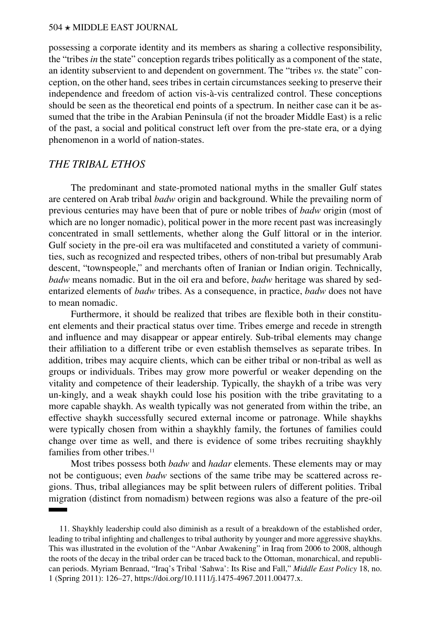possessing a corporate identity and its members as sharing a collective responsibility, the "tribes *in* the state" conception regards tribes politically as a component of the state, an identity subservient to and dependent on government. The "tribes *vs.* the state" conception, on the other hand, sees tribes in certain circumstances seeking to preserve their independence and freedom of action vis-à-vis centralized control. These conceptions should be seen as the theoretical end points of a spectrum. In neither case can it be assumed that the tribe in the Arabian Peninsula (if not the broader Middle East) is a relic of the past, a social and political construct left over from the pre-state era, or a dying phenomenon in a world of nation-states.

# *THE TRIBAL ETHOS*

The predominant and state-promoted national myths in the smaller Gulf states are centered on Arab tribal *badw* origin and background. While the prevailing norm of previous centuries may have been that of pure or noble tribes of *badw* origin (most of which are no longer nomadic), political power in the more recent past was increasingly concentrated in small settlements, whether along the Gulf littoral or in the interior. Gulf society in the pre-oil era was multifaceted and constituted a variety of communities, such as recognized and respected tribes, others of non-tribal but presumably Arab descent, "townspeople," and merchants often of Iranian or Indian origin. Technically, *badw* means nomadic. But in the oil era and before, *badw* heritage was shared by sedentarized elements of *badw* tribes. As a consequence, in practice, *badw* does not have to mean nomadic.

Furthermore, it should be realized that tribes are flexible both in their constituent elements and their practical status over time. Tribes emerge and recede in strength and influence and may disappear or appear entirely. Sub-tribal elements may change their affiliation to a different tribe or even establish themselves as separate tribes. In addition, tribes may acquire clients, which can be either tribal or non-tribal as well as groups or individuals. Tribes may grow more powerful or weaker depending on the vitality and competence of their leadership. Typically, the shaykh of a tribe was very un-kingly, and a weak shaykh could lose his position with the tribe gravitating to a more capable shaykh. As wealth typically was not generated from within the tribe, an effective shaykh successfully secured external income or patronage. While shaykhs were typically chosen from within a shaykhly family, the fortunes of families could change over time as well, and there is evidence of some tribes recruiting shaykhly families from other tribes.<sup>11</sup>

Most tribes possess both *badw* and *hadar* elements. These elements may or may not be contiguous; even *badw* sections of the same tribe may be scattered across regions. Thus, tribal allegiances may be split between rulers of different polities. Tribal migration (distinct from nomadism) between regions was also a feature of the pre-oil

<sup>11.</sup> Shaykhly leadership could also diminish as a result of a breakdown of the established order, leading to tribal infighting and challenges to tribal authority by younger and more aggressive shaykhs. This was illustrated in the evolution of the "Anbar Awakening" in Iraq from 2006 to 2008, although the roots of the decay in the tribal order can be traced back to the Ottoman, monarchical, and republican periods. Myriam Benraad, "Iraq's Tribal 'Sahwa': Its Rise and Fall," *Middle East Policy* 18, no. 1 (Spring 2011): 126–27, [https://doi.org/10.1111/j.1475-4967.2011.00477.x.](https://doi.org/10.1111/j.1475-4967.2011.00477.x)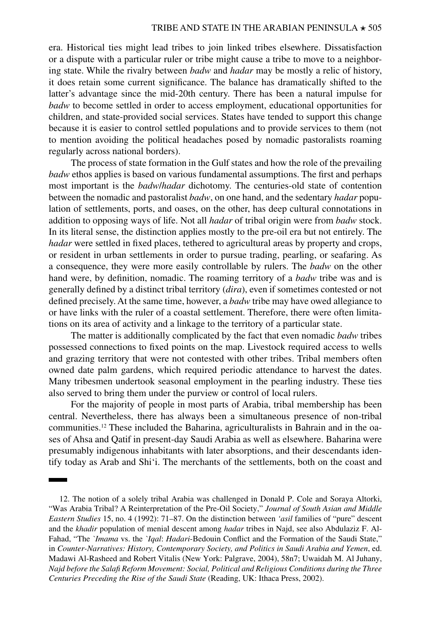era. Historical ties might lead tribes to join linked tribes elsewhere. Dissatisfaction or a dispute with a particular ruler or tribe might cause a tribe to move to a neighboring state. While the rivalry between *badw* and *hadar* may be mostly a relic of history, it does retain some current significance. The balance has dramatically shifted to the latter's advantage since the mid-20th century. There has been a natural impulse for *badw* to become settled in order to access employment, educational opportunities for children, and state-provided social services. States have tended to support this change because it is easier to control settled populations and to provide services to them (not to mention avoiding the political headaches posed by nomadic pastoralists roaming regularly across national borders).

The process of state formation in the Gulf states and how the role of the prevailing *badw* ethos applies is based on various fundamental assumptions. The first and perhaps most important is the *badw*/*hadar* dichotomy. The centuries-old state of contention between the nomadic and pastoralist *badw*, on one hand, and the sedentary *hadar* population of settlements, ports, and oases, on the other, has deep cultural connotations in addition to opposing ways of life. Not all *hadar* of tribal origin were from *badw* stock. In its literal sense, the distinction applies mostly to the pre-oil era but not entirely. The *hadar* were settled in fixed places, tethered to agricultural areas by property and crops, or resident in urban settlements in order to pursue trading, pearling, or seafaring. As a consequence, they were more easily controllable by rulers. The *badw* on the other hand were, by definition, nomadic. The roaming territory of a *badw* tribe was and is generally defined by a distinct tribal territory (*dira*), even if sometimes contested or not defined precisely. At the same time, however, a *badw* tribe may have owed allegiance to or have links with the ruler of a coastal settlement. Therefore, there were often limitations on its area of activity and a linkage to the territory of a particular state.

The matter is additionally complicated by the fact that even nomadic *badw* tribes possessed connections to fixed points on the map. Livestock required access to wells and grazing territory that were not contested with other tribes. Tribal members often owned date palm gardens, which required periodic attendance to harvest the dates. Many tribesmen undertook seasonal employment in the pearling industry. These ties also served to bring them under the purview or control of local rulers.

For the majority of people in most parts of Arabia, tribal membership has been central. Nevertheless, there has always been a simultaneous presence of non-tribal communities.12 These included the Baharina, agriculturalists in Bahrain and in the oases of Ahsa and Qatif in present-day Saudi Arabia as well as elsewhere. Baharina were presumably indigenous inhabitants with later absorptions, and their descendants identify today as Arab and Shi'i. The merchants of the settlements, both on the coast and

<sup>12.</sup> The notion of a solely tribal Arabia was challenged in Donald P. Cole and Soraya Altorki, "Was Arabia Tribal? A Reinterpretation of the Pre-Oil Society," *Journal of South Asian and Middle Eastern Studies* 15, no. 4 (1992): 71–87. On the distinction between *'asil* families of "pure" descent and the *khadir* population of menial descent among *hadar* tribes in Najd, see also Abdulaziz F. Al-Fahad, "The *`Imama* vs. the *`Iqal*: *Hadari*-Bedouin Conflict and the Formation of the Saudi State," in *[Counter-Narratives: History, Contemporary Society, and Politics in Saudi Arabia and Yemen](https://doi.org/10.1057/9781403981318)*, ed. Madawi Al-Rasheed and Robert Vitalis (New York: Palgrave, 2004), 58n7; Uwaidah M. Al Juhany, *Najd before the Salafi Reform Movement: Social, Political and Religious Conditions during the Three Centuries Preceding the Rise of the Saudi State* (Reading, UK: Ithaca Press, 2002).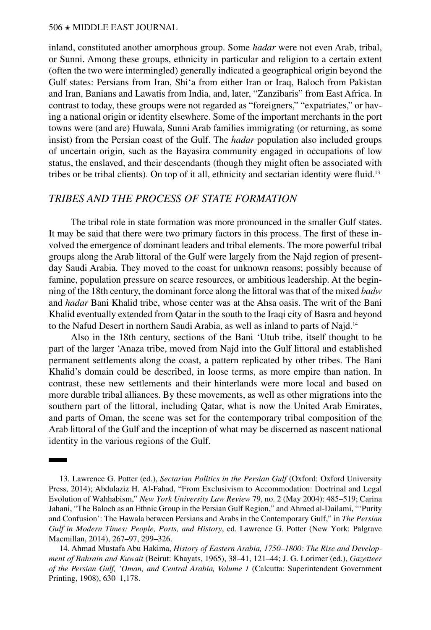inland, constituted another amorphous group. Some *hadar* were not even Arab, tribal, or Sunni. Among these groups, ethnicity in particular and religion to a certain extent (often the two were intermingled) generally indicated a geographical origin beyond the Gulf states: Persians from Iran, Shi'a from either Iran or Iraq, Baloch from Pakistan and Iran, Banians and Lawatis from India, and, later, "Zanzibaris" from East Africa. In contrast to today, these groups were not regarded as "foreigners," "expatriates," or having a national origin or identity elsewhere. Some of the important merchants in the port towns were (and are) Huwala, Sunni Arab families immigrating (or returning, as some insist) from the Persian coast of the Gulf. The *hadar* population also included groups of uncertain origin, such as the Bayasira community engaged in occupations of low status, the enslaved, and their descendants (though they might often be associated with tribes or be tribal clients). On top of it all, ethnicity and sectarian identity were fluid.<sup>13</sup>

# *TRIBES AND THE PROCESS OF STATE FORMATION*

The tribal role in state formation was more pronounced in the smaller Gulf states. It may be said that there were two primary factors in this process. The first of these involved the emergence of dominant leaders and tribal elements. The more powerful tribal groups along the Arab littoral of the Gulf were largely from the Najd region of presentday Saudi Arabia. They moved to the coast for unknown reasons; possibly because of famine, population pressure on scarce resources, or ambitious leadership. At the beginning of the 18th century, the dominant force along the littoral was that of the mixed *badw* and *hadar* Bani Khalid tribe, whose center was at the Ahsa oasis. The writ of the Bani Khalid eventually extended from Qatar in the south to the Iraqi city of Basra and beyond to the Nafud Desert in northern Saudi Arabia, as well as inland to parts of Najd.14

Also in the 18th century, sections of the Bani 'Utub tribe, itself thought to be part of the larger 'Anaza tribe, moved from Najd into the Gulf littoral and established permanent settlements along the coast, a pattern replicated by other tribes. The Bani Khalid's domain could be described, in loose terms, as more empire than nation. In contrast, these new settlements and their hinterlands were more local and based on more durable tribal alliances. By these movements, as well as other migrations into the southern part of the littoral, including Qatar, what is now the United Arab Emirates, and parts of Oman, the scene was set for the contemporary tribal composition of the Arab littoral of the Gulf and the inception of what may be discerned as nascent national identity in the various regions of the Gulf.

<sup>13.</sup> Lawrence G. Potter (ed.), *[Sectarian Politics in the Persian Gulf](https://global.oup.com/academic/product/sectarian-politics-in-the-persian-gulf-9780199377268?cc=us&lang=en&)* (Oxford: Oxford University Press, 2014); Abdulaziz H. Al-Fahad, ["From Exclusivism to Accommodation: Doctrinal and Legal](https://www.nyulawreview.org/wp-content/uploads/2018/08/NYULawReview-79-2-Al-Fahad.pdf) [Evolution of Wahhabism](https://www.nyulawreview.org/wp-content/uploads/2018/08/NYULawReview-79-2-Al-Fahad.pdf)," *New York University Law Review* 79, no. 2 (May 2004): 485–519; Carina Jahani, "The Baloch as an Ethnic Group in the Persian Gulf Region," and Ahmed al-Dailami, "'Purity and Confusion': The Hawala between Persians and Arabs in the Contemporary Gulf," in *[The Persian](https://doi.org/10.1057/9781137485779) [Gulf in Modern Times: People, Ports, and History](https://doi.org/10.1057/9781137485779)*, ed. Lawrence G. Potter (New York: Palgrave Macmillan, 2014), 267–97, 299–326.

<sup>14.</sup> Ahmad Mustafa Abu Hakima, *History of Eastern Arabia, 1750–1800: The Rise and Development of Bahrain and Kuwait* (Beirut: Khayats, 1965), 38–41, 121–44; J. G. Lorimer (ed.), *[Gazetteer](https://referenceworks.brillonline.com/browse/gazetteer-of-the-persian-gulf-oman-and-central-arabia-online) [of the Persian Gulf, 'Oman, and Central Arabia, Volume 1](https://referenceworks.brillonline.com/browse/gazetteer-of-the-persian-gulf-oman-and-central-arabia-online)* (Calcutta: Superintendent Government Printing, 1908), 630–1,178.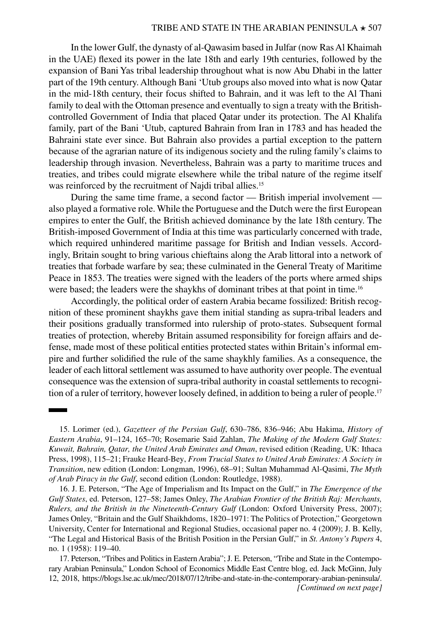In the lower Gulf, the dynasty of al-Qawasim based in Julfar (now Ras Al Khaimah in the UAE) flexed its power in the late 18th and early 19th centuries, followed by the expansion of Bani Yas tribal leadership throughout what is now Abu Dhabi in the latter part of the 19th century. Although Bani 'Utub groups also moved into what is now Qatar in the mid-18th century, their focus shifted to Bahrain, and it was left to the Al Thani family to deal with the Ottoman presence and eventually to sign a treaty with the Britishcontrolled Government of India that placed Qatar under its protection. The Al Khalifa family, part of the Bani 'Utub, captured Bahrain from Iran in 1783 and has headed the Bahraini state ever since. But Bahrain also provides a partial exception to the pattern because of the agrarian nature of its indigenous society and the ruling family's claims to leadership through invasion. Nevertheless, Bahrain was a party to maritime truces and treaties, and tribes could migrate elsewhere while the tribal nature of the regime itself was reinforced by the recruitment of Najdi tribal allies.<sup>15</sup>

During the same time frame, a second factor — British imperial involvement also played a formative role. While the Portuguese and the Dutch were the first European empires to enter the Gulf, the British achieved dominance by the late 18th century. The British-imposed Government of India at this time was particularly concerned with trade, which required unhindered maritime passage for British and Indian vessels. Accordingly, Britain sought to bring various chieftains along the Arab littoral into a network of treaties that forbade warfare by sea; these culminated in the General Treaty of Maritime Peace in 1853. The treaties were signed with the leaders of the ports where armed ships were based; the leaders were the shaykhs of dominant tribes at that point in time.<sup>16</sup>

Accordingly, the political order of eastern Arabia became fossilized: British recognition of these prominent shaykhs gave them initial standing as supra-tribal leaders and their positions gradually transformed into rulership of proto-states. Subsequent formal treaties of protection, whereby Britain assumed responsibility for foreign affairs and defense, made most of these political entities protected states within Britain's informal empire and further solidified the rule of the same shaykhly families. As a consequence, the leader of each littoral settlement was assumed to have authority over people. The eventual consequence was the extension of supra-tribal authority in coastal settlements to recognition of a ruler of territory, however loosely defined, in addition to being a ruler of people.<sup>17</sup>

<sup>15.</sup> Lorimer (ed.), *Gazetteer of the Persian Gulf*, 630–786, 836–946; Abu Hakima, *History of Eastern Arabia*, 91–124, 165–70; Rosemarie Said Zahlan, *[The Making of the Modern Gulf States:](https://doi.org/10.4324/9781315645407)  [Kuwait, Bahrain, Qatar, the United Arab Emirates and Oman](https://doi.org/10.4324/9781315645407)*, revised edition (Reading, UK: Ithaca Press, 1998), 115–21; Frauke Heard-Bey, *From Trucial States to United Arab Emirates: A Society in Transition*, new edition (London: Longman, 1996), 68–91; Sultan Muhammad Al-Qasimi, *[The Myth](https://www.routledge.com/The-Myth-of-Arab-Piracy-in-the-Gulf/Al-Qasimi/p/book/9781138184190) [of Arab Piracy in the Gulf](https://www.routledge.com/The-Myth-of-Arab-Piracy-in-the-Gulf/Al-Qasimi/p/book/9781138184190)*, second edition (London: Routledge, 1988).

<sup>16.</sup> J. E. Peterson, "The Age of Imperialism and Its Impact on the Gulf," in *The Emergence of the Gulf States*, ed. Peterson, 127–58; James Onley, *[The Arabian Frontier of the British Raj: Merchants,](https://global.oup.com/academic/product/the-arabian-frontier-of-the-british-raj-9780199228102)  [Rulers, and the British in the Nineteenth-Century Gulf](https://global.oup.com/academic/product/the-arabian-frontier-of-the-british-raj-9780199228102)* (London: Oxford University Press, 2007); James Onley, ["Britain and the Gulf Shaikhdoms, 1820–1971: The Politics of Protection](https://repository.library.georgetown.edu/bitstream/handle/10822/558294/CIRSOccasionalPaper4JamesOnley2009.pdf)," Georgetown University, Center for International and Regional Studies, occasional paper no. 4 (2009); J. B. Kelly, "The Legal and Historical Basis of the British Position in the Persian Gulf," in *St. Antony's Papers* 4, no. 1 (1958): 119–40.

<sup>17.</sup> Peterson, "Tribes and Politics in Eastern Arabia"; J. E. Peterson, "Tribe and State in the Contemporary Arabian Peninsula," London School of Economics Middle East Centre blog, ed. Jack McGinn, July 12, 2018, [https://blogs.lse.ac.uk/mec/2018/07/12/tribe-and-state-in-the-contemporary-arabian-peninsula/.](https://blogs.lse.ac.uk/mec/2018/07/12/tribe-and-state-in-the-contemporary-arabian-peninsula/) *[Continued on next page]*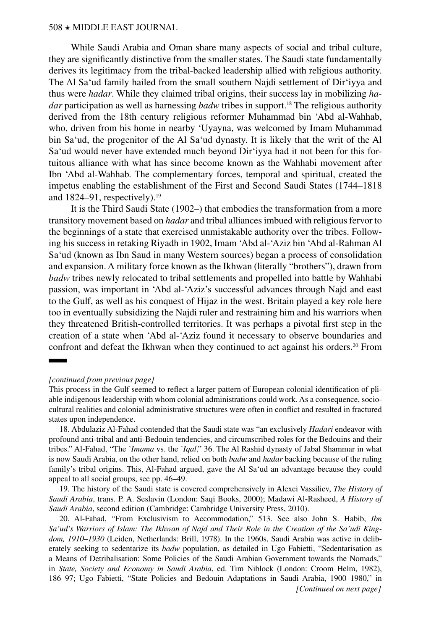While Saudi Arabia and Oman share many aspects of social and tribal culture, they are significantly distinctive from the smaller states. The Saudi state fundamentally derives its legitimacy from the tribal-backed leadership allied with religious authority. The Al Sa'ud family hailed from the small southern Najdi settlement of Dir'iyya and thus were *hadar*. While they claimed tribal origins, their success lay in mobilizing *hadar* participation as well as harnessing *badw* tribes in support.18 The religious authority derived from the 18th century religious reformer Muhammad bin 'Abd al-Wahhab, who, driven from his home in nearby 'Uyayna, was welcomed by Imam Muhammad bin Sa'ud, the progenitor of the Al Sa'ud dynasty. It is likely that the writ of the Al Sa'ud would never have extended much beyond Dir'iyya had it not been for this fortuitous alliance with what has since become known as the Wahhabi movement after Ibn 'Abd al-Wahhab. The complementary forces, temporal and spiritual, created the impetus enabling the establishment of the First and Second Saudi States (1744–1818 and  $1824-91$ , respectively).<sup>19</sup>

It is the Third Saudi State (1902–) that embodies the transformation from a more transitory movement based on *hadar* and tribal alliances imbued with religious fervor to the beginnings of a state that exercised unmistakable authority over the tribes. Following his success in retaking Riyadh in 1902, Imam 'Abd al-'Aziz bin 'Abd al-Rahman Al Sa'ud (known as Ibn Saud in many Western sources) began a process of consolidation and expansion. A military force known as the Ikhwan (literally "brothers"), drawn from *badw* tribes newly relocated to tribal settlements and propelled into battle by Wahhabi passion, was important in 'Abd al-'Aziz's successful advances through Najd and east to the Gulf, as well as his conquest of Hijaz in the west. Britain played a key role here too in eventually subsidizing the Najdi ruler and restraining him and his warriors when they threatened British-controlled territories. It was perhaps a pivotal first step in the creation of a state when 'Abd al-'Aziz found it necessary to observe boundaries and confront and defeat the Ikhwan when they continued to act against his orders.<sup>20</sup> From

#### *[continued from previous page]*

This process in the Gulf seemed to reflect a larger pattern of European colonial identification of pliable indigenous leadership with whom colonial administrations could work. As a consequence, sociocultural realities and colonial administrative structures were often in conflict and resulted in fractured states upon independence.

18. Abdulaziz Al-Fahad contended that the Saudi state was "an exclusively *Hadari* endeavor with profound anti-tribal and anti-Bedouin tendencies, and circumscribed roles for the Bedouins and their tribes." Al-Fahad, "The *`Imama* vs. the *`Iqal*," 36. The Al Rashid dynasty of Jabal Shammar in what is now Saudi Arabia, on the other hand, relied on both *badw* and *hadar* backing because of the ruling family's tribal origins. This, Al-Fahad argued, gave the Al Sa'ud an advantage because they could appeal to all social groups, see pp. 46–49.

19. The history of the Saudi state is covered comprehensively in Alexei Vassiliev, *[The History of](https://saqibooks.com/books/saqi/the-history-of-saudi-arabia/) [Saudi Arabia](https://saqibooks.com/books/saqi/the-history-of-saudi-arabia/)*, trans. P. A. Seslavin (London: Saqi Books, 2000); Madawi Al-Rasheed, *[A History of](https://doi.org/10.1017/CBO9780511993510) Saudi Arabia*[, second edition](https://doi.org/10.1017/CBO9780511993510) (Cambridge: Cambridge University Press, 2010).

20. Al-Fahad, "From Exclusivism to Accommodation," 513. See also John S. Habib, *[Ibn](https://brill.com/view/title/3914) [Sa'ud's Warriors of Islam: The Ikhwan of Najd and Their Role in the Creation of the Sa'udi King](https://brill.com/view/title/3914)[dom, 1910–1930](https://brill.com/view/title/3914)* (Leiden, Netherlands: Brill, 1978). In the 1960s, Saudi Arabia was active in deliberately seeking to sedentarize its *badw* population, as detailed in Ugo Fabietti, "Sedentarisation as a Means of Detribalisation: Some Policies of the Saudi Arabian Government towards the Nomads," in *[State, Society and Economy in Saudi Arabia](https://doi.org/10.4324/9781315727455)*, ed. Tim Niblock (London: Croom Helm, 1982), 186–97; Ugo Fabietti, "State Policies and Bedouin Adaptations in Saudi Arabia, 1900–1980," in *[Continued on next page]*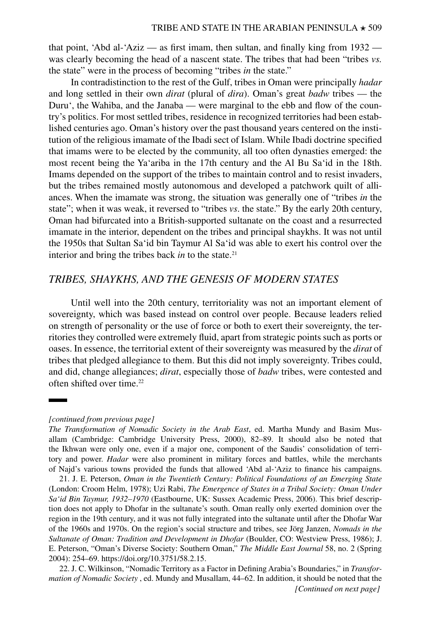that point, 'Abd al-'Aziz — as first imam, then sultan, and finally king from 1932 was clearly becoming the head of a nascent state. The tribes that had been "tribes *vs.* the state" were in the process of becoming "tribes *in* the state."

In contradistinction to the rest of the Gulf, tribes in Oman were principally *hadar* and long settled in their own *dirat* (plural of *dira*). Oman's great *badw* tribes — the Duru', the Wahiba, and the Janaba — were marginal to the ebb and flow of the country's politics. For most settled tribes, residence in recognized territories had been established centuries ago. Oman's history over the past thousand years centered on the institution of the religious imamate of the Ibadi sect of Islam. While Ibadi doctrine specified that imams were to be elected by the community, all too often dynasties emerged: the most recent being the Ya'ariba in the 17th century and the Al Bu Sa'id in the 18th. Imams depended on the support of the tribes to maintain control and to resist invaders, but the tribes remained mostly autonomous and developed a patchwork quilt of alliances. When the imamate was strong, the situation was generally one of "tribes *in* the state"; when it was weak, it reversed to "tribes *vs*. the state." By the early 20th century, Oman had bifurcated into a British-supported sultanate on the coast and a resurrected imamate in the interior, dependent on the tribes and principal shaykhs. It was not until the 1950s that Sultan Sa'id bin Taymur Al Sa'id was able to exert his control over the interior and bring the tribes back *in* to the state.<sup>21</sup>

# *TRIBES, SHAYKHS, AND THE GENESIS OF MODERN STATES*

Until well into the 20th century, territoriality was not an important element of sovereignty, which was based instead on control over people. Because leaders relied on strength of personality or the use of force or both to exert their sovereignty, the territories they controlled were extremely fluid, apart from strategic points such as ports or oases. In essence, the territorial extent of their sovereignty was measured by the *dirat* of tribes that pledged allegiance to them. But this did not imply sovereignty. Tribes could, and did, change allegiances; *dirat*, especially those of *badw* tribes, were contested and often shifted over time.22

#### *[continued from previous page]*

*[The Transformation of Nomadic Society in the Arab East](https://www.cambridge.org/us/academic/subjects/history/regional-history-after-1500/transformation-nomadic-society-arab-east?format=HB&isbn=9780521770576)*, ed. Martha Mundy and Basim Musallam (Cambridge: Cambridge University Press, 2000), 82–89. It should also be noted that the Ikhwan were only one, even if a major one, component of the Saudis' consolidation of territory and power. *Hadar* were also prominent in military forces and battles, while the merchants of Najd's various towns provided the funds that allowed 'Abd al-'Aziz to finance his campaigns.

<sup>21.</sup> J. E. Peterson, *[Oman in the Twentieth Century: Political Foundations of an Emerging State](https://doi.org/10.4324/9781315645346)* (London: Croom Helm, 1978); Uzi Rabi, *[The Emergence of States in a Tribal Society: Oman Under](http://www.sussex-academic.com/sa/titles/middle_east_studies/rabi.htm) [Sa'id Bin Taymur, 1932–1970](http://www.sussex-academic.com/sa/titles/middle_east_studies/rabi.htm)* (Eastbourne, UK: Sussex Academic Press, 2006). This brief description does not apply to Dhofar in the sultanate's south. Oman really only exerted dominion over the region in the 19th century, and it was not fully integrated into the sultanate until after the Dhofar War of the 1960s and 1970s. On the region's social structure and tribes, see Jörg Janzen, *Nomads in the Sultanate of Oman: Tradition and Development in Dhofar* (Boulder, CO: Westview Press, 1986); J. E. Peterson, "Oman's Diverse Society: Southern Oman," *The Middle East Journal* 58, no. 2 (Spring 2004): 254–69.<https://doi.org/10.3751/58.2.15>.

<sup>22.</sup> J. C. Wilkinson, "Nomadic Territory as a Factor in Defining Arabia's Boundaries," in *Transformation of Nomadic Society* , ed. Mundy and Musallam, 44–62. In addition, it should be noted that the *[Continued on next page]*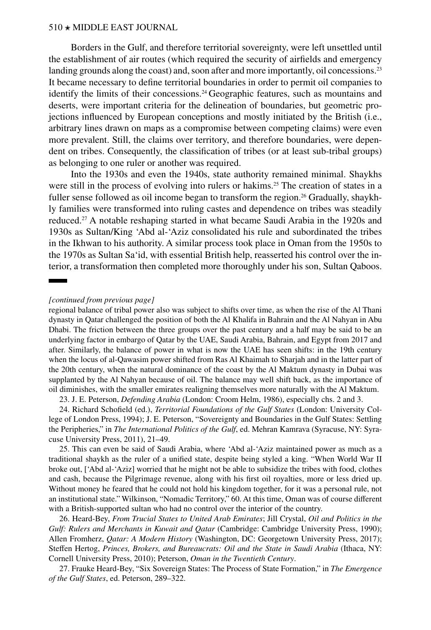Borders in the Gulf, and therefore territorial sovereignty, were left unsettled until the establishment of air routes (which required the security of airfields and emergency landing grounds along the coast) and, soon after and more importantly, oil concessions.<sup>23</sup> It became necessary to define territorial boundaries in order to permit oil companies to identify the limits of their concessions.<sup>24</sup> Geographic features, such as mountains and deserts, were important criteria for the delineation of boundaries, but geometric projections influenced by European conceptions and mostly initiated by the British (i.e., arbitrary lines drawn on maps as a compromise between competing claims) were even more prevalent. Still, the claims over territory, and therefore boundaries, were dependent on tribes. Consequently, the classification of tribes (or at least sub-tribal groups) as belonging to one ruler or another was required.

Into the 1930s and even the 1940s, state authority remained minimal. Shaykhs were still in the process of evolving into rulers or hakims.<sup>25</sup> The creation of states in a fuller sense followed as oil income began to transform the region.<sup>26</sup> Gradually, shaykhly families were transformed into ruling castes and dependence on tribes was steadily reduced.27 A notable reshaping started in what became Saudi Arabia in the 1920s and 1930s as Sultan/King 'Abd al-'Aziz consolidated his rule and subordinated the tribes in the Ikhwan to his authority. A similar process took place in Oman from the 1950s to the 1970s as Sultan Sa'id, with essential British help, reasserted his control over the interior, a transformation then completed more thoroughly under his son, Sultan Qaboos.

#### *[continued from previous page]*

regional balance of tribal power also was subject to shifts over time, as when the rise of the Al Thani dynasty in Qatar challenged the position of both the Al Khalifa in Bahrain and the Al Nahyan in Abu Dhabi. The friction between the three groups over the past century and a half may be said to be an underlying factor in embargo of Qatar by the UAE, Saudi Arabia, Bahrain, and Egypt from 2017 and after. Similarly, the balance of power in what is now the UAE has seen shifts: in the 19th century when the locus of al-Qawasim power shifted from Ras Al Khaimah to Sharjah and in the latter part of the 20th century, when the natural dominance of the coast by the Al Maktum dynasty in Dubai was supplanted by the Al Nahyan because of oil. The balance may well shift back, as the importance of oil diminishes, with the smaller emirates realigning themselves more naturally with the Al Maktum.

23. J. E. Peterson, *[Defending Arabia](https://www.routledge.com/Defending-Arabia/Peterson/p/book/9781138652965)* (London: Croom Helm, 1986), especially chs. 2 and 3.

24. Richard Schofield (ed.), *[Territorial Foundations of the Gulf States](https://www.routledge.com/Territorial-Foundations-of-the-Gulf-States/Schofield/p/book/9781138221277)* (London: University College of London Press, 1994); J. E. Peterson, "Sovereignty and Boundaries in the Gulf States: Settling the Peripheries," in *[The International Politics of the Gulf](https://press.syr.edu/supressbooks/764/international-politics-of-the-persian-gulf-the/)*, ed. Mehran Kamrava (Syracuse, NY: Syracuse University Press, 2011), 21–49.

25. This can even be said of Saudi Arabia, where 'Abd al-'Aziz maintained power as much as a traditional shaykh as the ruler of a unified state, despite being styled a king. "When World War II broke out, ['Abd al-'Aziz] worried that he might not be able to subsidize the tribes with food, clothes and cash, because the Pilgrimage revenue, along with his first oil royalties, more or less dried up. Without money he feared that he could not hold his kingdom together, for it was a personal rule, not an institutional state." Wilkinson, "Nomadic Territory," 60. At this time, Oman was of course different with a British-supported sultan who had no control over the interior of the country.

26. Heard-Bey, *From Trucial States to United Arab Emirates*; Jill Crystal, *[Oil and Politics in the](https://www.cambridge.org/us/academic/subjects/politics-international-relations/comparative-politics/oil-and-politics-gulf-rulers-and-merchants-kuwait-and-qatar?format=PB) [Gulf: Rulers and Merchants in Kuwait and Qatar](https://www.cambridge.org/us/academic/subjects/politics-international-relations/comparative-politics/oil-and-politics-gulf-rulers-and-merchants-kuwait-and-qatar?format=PB)* (Cambridge: Cambridge University Press, 1990); Allen Fromherz, *[Qatar: A Modern History](http://press.georgetown.edu/book/georgetown/qatar-0)* (Washington, DC: Georgetown University Press, 2017); Steffen Hertog, *[Princes, Brokers, and Bureaucrats: Oil and the State in Saudi Arabia](https://doi.org/10.7591/9780801458774)* (Ithaca, NY: Cornell University Press, 2010); Peterson, *Oman in the Twentieth Century*.

27. Frauke Heard-Bey, "Six Sovereign States: The Process of State Formation," in *The Emergence of the Gulf States*, ed. Peterson, 289–322.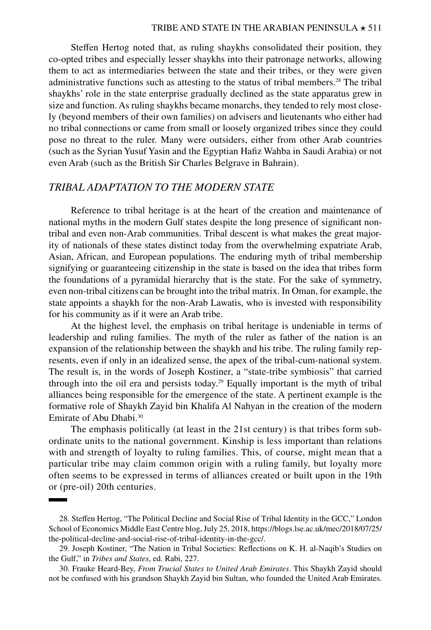Steffen Hertog noted that, as ruling shaykhs consolidated their position, they co-opted tribes and especially lesser shaykhs into their patronage networks, allowing them to act as intermediaries between the state and their tribes, or they were given administrative functions such as attesting to the status of tribal members.<sup>28</sup> The tribal shaykhs' role in the state enterprise gradually declined as the state apparatus grew in size and function. As ruling shaykhs became monarchs, they tended to rely most closely (beyond members of their own families) on advisers and lieutenants who either had no tribal connections or came from small or loosely organized tribes since they could pose no threat to the ruler. Many were outsiders, either from other Arab countries (such as the Syrian Yusuf Yasin and the Egyptian Hafiz Wahba in Saudi Arabia) or not even Arab (such as the British Sir Charles Belgrave in Bahrain).

# *TRIBAL ADAPTATION TO THE MODERN STATE*

Reference to tribal heritage is at the heart of the creation and maintenance of national myths in the modern Gulf states despite the long presence of significant nontribal and even non-Arab communities. Tribal descent is what makes the great majority of nationals of these states distinct today from the overwhelming expatriate Arab, Asian, African, and European populations. The enduring myth of tribal membership signifying or guaranteeing citizenship in the state is based on the idea that tribes form the foundations of a pyramidal hierarchy that is the state. For the sake of symmetry, even non-tribal citizens can be brought into the tribal matrix. In Oman, for example, the state appoints a shaykh for the non-Arab Lawatis, who is invested with responsibility for his community as if it were an Arab tribe.

At the highest level, the emphasis on tribal heritage is undeniable in terms of leadership and ruling families. The myth of the ruler as father of the nation is an expansion of the relationship between the shaykh and his tribe. The ruling family represents, even if only in an idealized sense, the apex of the tribal-cum-national system. The result is, in the words of Joseph Kostiner, a "state-tribe symbiosis" that carried through into the oil era and persists today.<sup>29</sup> Equally important is the myth of tribal alliances being responsible for the emergence of the state. A pertinent example is the formative role of Shaykh Zayid bin Khalifa Al Nahyan in the creation of the modern Emirate of Abu Dhabi.30

The emphasis politically (at least in the 21st century) is that tribes form subordinate units to the national government. Kinship is less important than relations with and strength of loyalty to ruling families. This, of course, might mean that a particular tribe may claim common origin with a ruling family, but loyalty more often seems to be expressed in terms of alliances created or built upon in the 19th or (pre-oil) 20th centuries.

<sup>28.</sup> Steffen Hertog, "The Political Decline and Social Rise of Tribal Identity in the GCC," London School of Economics Middle East Centre blog, July 25, 2018, [https://blogs.lse.ac.uk/mec/2018/07/25/](https://blogs.lse.ac.uk/mec/2018/07/25/the-political-decline-and-social-rise-of-tribal-identity-in-the-gcc/) [the-political-decline-and-social-rise-of-tribal-identity-in-the-gcc/](https://blogs.lse.ac.uk/mec/2018/07/25/the-political-decline-and-social-rise-of-tribal-identity-in-the-gcc/).

<sup>29.</sup> Joseph Kostiner, "The Nation in Tribal Societies: Reflections on K. H. al-Naqib's Studies on the Gulf," in *Tribes and States*, ed. Rabi, 227.

<sup>30.</sup> Frauke Heard-Bey, *From Trucial States to United Arab Emirates*. This Shaykh Zayid should not be confused with his grandson Shaykh Zayid bin Sultan, who founded the United Arab Emirates.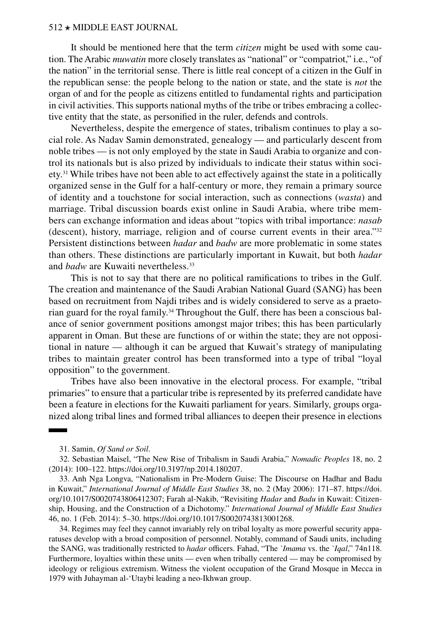It should be mentioned here that the term *citizen* might be used with some caution. The Arabic *muwatin* more closely translates as "national" or "compatriot," i.e., "of the nation" in the territorial sense. There is little real concept of a citizen in the Gulf in the republican sense: the people belong to the nation or state, and the state is *not* the organ of and for the people as citizens entitled to fundamental rights and participation in civil activities. This supports national myths of the tribe or tribes embracing a collective entity that the state, as personified in the ruler, defends and controls.

Nevertheless, despite the emergence of states, tribalism continues to play a social role. As Nadav Samin demonstrated, genealogy — and particularly descent from noble tribes — is not only employed by the state in Saudi Arabia to organize and control its nationals but is also prized by individuals to indicate their status within society.<sup>31</sup> While tribes have not been able to act effectively against the state in a politically organized sense in the Gulf for a half-century or more, they remain a primary source of identity and a touchstone for social interaction, such as connections (*wasta*) and marriage. Tribal discussion boards exist online in Saudi Arabia, where tribe members can exchange information and ideas about "topics with tribal importance: *nasab* (descent), history, marriage, religion and of course current events in their area."32 Persistent distinctions between *hadar* and *badw* are more problematic in some states than others. These distinctions are particularly important in Kuwait, but both *hadar* and *badw* are Kuwaiti nevertheless.<sup>33</sup>

This is not to say that there are no political ramifications to tribes in the Gulf. The creation and maintenance of the Saudi Arabian National Guard (SANG) has been based on recruitment from Najdi tribes and is widely considered to serve as a praetorian guard for the royal family.<sup>34</sup> Throughout the Gulf, there has been a conscious balance of senior government positions amongst major tribes; this has been particularly apparent in Oman. But these are functions of or within the state; they are not oppositional in nature — although it can be argued that Kuwait's strategy of manipulating tribes to maintain greater control has been transformed into a type of tribal "loyal opposition" to the government.

Tribes have also been innovative in the electoral process. For example, "tribal primaries" to ensure that a particular tribe is represented by its preferred candidate have been a feature in elections for the Kuwaiti parliament for years. Similarly, groups organized along tribal lines and formed tribal alliances to deepen their presence in elections

33. Anh Nga Longva, "Nationalism in Pre-Modern Guise: The Discourse on Hadhar and Badu in Kuwait," *International Journal of Middle East Studies* 38, no. 2 (May 2006): 171–87. [https://doi.](https://doi.org/10.1017/S0020743806412307) [org/10.1017/S0020743806412307](https://doi.org/10.1017/S0020743806412307); Farah al-Nakib, "Revisiting *Hadar* and *Badu* in Kuwait: Citizenship, Housing, and the Construction of a Dichotomy." *International Journal of Middle East Studies* 46, no. 1 (Feb. 2014): 5–30. <https://doi.org/10.1017/S0020743813001268>.

34. Regimes may feel they cannot invariably rely on tribal loyalty as more powerful security apparatuses develop with a broad composition of personnel. Notably, command of Saudi units, including the SANG, was traditionally restricted to *hadar* officers. Fahad, "The *`Imama* vs. the *`Iqal*," 74n118. Furthermore, loyalties within these units — even when tribally centered — may be compromised by ideology or religious extremism. Witness the violent occupation of the Grand Mosque in Mecca in 1979 with Juhayman al-'Utaybi leading a neo-Ikhwan group.

<sup>31.</sup> Samin, *Of Sand or Soil*.

<sup>32.</sup> Sebastian Maisel, "The New Rise of Tribalism in Saudi Arabia," *Nomadic Peoples* 18, no. 2 (2014): 100–122. <https://doi.org/10.3197/np.2014.180207>.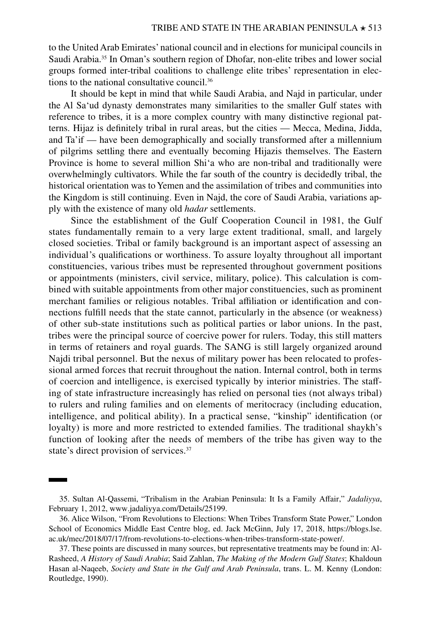to the United Arab Emirates' national council and in elections for municipal councils in Saudi Arabia.35 In Oman's southern region of Dhofar, non-elite tribes and lower social groups formed inter-tribal coalitions to challenge elite tribes' representation in elections to the national consultative council.36

It should be kept in mind that while Saudi Arabia, and Najd in particular, under the Al Sa'ud dynasty demonstrates many similarities to the smaller Gulf states with reference to tribes, it is a more complex country with many distinctive regional patterns. Hijaz is definitely tribal in rural areas, but the cities — Mecca, Medina, Jidda, and Ta'if — have been demographically and socially transformed after a millennium of pilgrims settling there and eventually becoming Hijazis themselves. The Eastern Province is home to several million Shi'a who are non-tribal and traditionally were overwhelmingly cultivators. While the far south of the country is decidedly tribal, the historical orientation was to Yemen and the assimilation of tribes and communities into the Kingdom is still continuing. Even in Najd, the core of Saudi Arabia, variations apply with the existence of many old *hadar* settlements.

Since the establishment of the Gulf Cooperation Council in 1981, the Gulf states fundamentally remain to a very large extent traditional, small, and largely closed societies. Tribal or family background is an important aspect of assessing an individual's qualifications or worthiness. To assure loyalty throughout all important constituencies, various tribes must be represented throughout government positions or appointments (ministers, civil service, military, police). This calculation is combined with suitable appointments from other major constituencies, such as prominent merchant families or religious notables. Tribal affiliation or identification and connections fulfill needs that the state cannot, particularly in the absence (or weakness) of other sub-state institutions such as political parties or labor unions. In the past, tribes were the principal source of coercive power for rulers. Today, this still matters in terms of retainers and royal guards. The SANG is still largely organized around Najdi tribal personnel. But the nexus of military power has been relocated to professional armed forces that recruit throughout the nation. Internal control, both in terms of coercion and intelligence, is exercised typically by interior ministries. The staffing of state infrastructure increasingly has relied on personal ties (not always tribal) to rulers and ruling families and on elements of meritocracy (including education, intelligence, and political ability). In a practical sense, "kinship" identification (or loyalty) is more and more restricted to extended families. The traditional shaykh's function of looking after the needs of members of the tribe has given way to the state's direct provision of services.<sup>37</sup>

<sup>35.</sup> Sultan Al-Qassemi, "Tribalism in the Arabian Peninsula: It Is a Family Affair," *Jadaliyya*, February 1, 2012, [www.jadaliyya.com/Details/25199.](http://www.jadaliyya.com/Details/25199)

<sup>36.</sup> Alice Wilson, "From Revolutions to Elections: When Tribes Transform State Power," London School of Economics Middle East Centre blog, ed. Jack McGinn, July 17, 2018, [https://blogs.lse.](https://blogs.lse.ac.uk/mec/2018/07/17/from-revolutions-to-elections-when-tribes-transform-state-power/) [ac.uk/mec/2018/07/17/from-revolutions-to-elections-when-tribes-transform-state-power/](https://blogs.lse.ac.uk/mec/2018/07/17/from-revolutions-to-elections-when-tribes-transform-state-power/).

<sup>37.</sup> These points are discussed in many sources, but representative treatments may be found in: Al-Rasheed, *A History of Saudi Arabia*; Said Zahlan, *The Making of the Modern Gulf States*; Khaldoun Hasan al-Naqeeb, *[Society and State in the Gulf and Arab Peninsula](https://doi.org/10.4324/9780203105016)*, trans. L. M. Kenny (London: Routledge, 1990).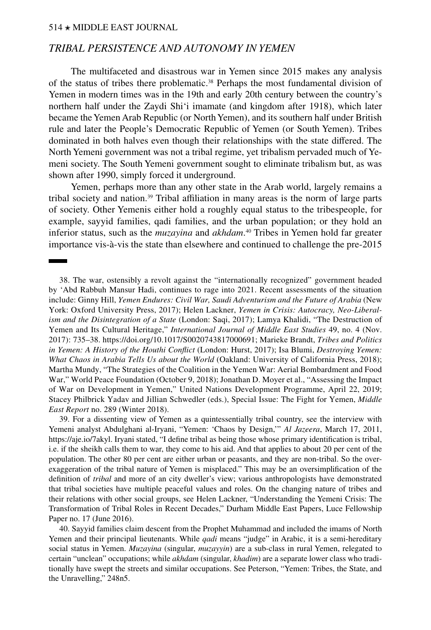# *TRIBAL PERSISTENCE AND AUTONOMY IN YEMEN*

The multifaceted and disastrous war in Yemen since 2015 makes any analysis of the status of tribes there problematic.38 Perhaps the most fundamental division of Yemen in modern times was in the 19th and early 20th century between the country's northern half under the Zaydi Shi'i imamate (and kingdom after 1918), which later became the Yemen Arab Republic (or North Yemen), and its southern half under British rule and later the People's Democratic Republic of Yemen (or South Yemen). Tribes dominated in both halves even though their relationships with the state differed. The North Yemeni government was not a tribal regime, yet tribalism pervaded much of Yemeni society. The South Yemeni government sought to eliminate tribalism but, as was shown after 1990, simply forced it underground.

Yemen, perhaps more than any other state in the Arab world, largely remains a tribal society and nation.39 Tribal affiliation in many areas is the norm of large parts of society. Other Yemenis either hold a roughly equal status to the tribespeople, for example, sayyid families, qadi families, and the urban population; or they hold an inferior status, such as the *muzayina* and *akhdam*. 40 Tribes in Yemen hold far greater importance vis-à-vis the state than elsewhere and continued to challenge the pre-2015

38. The war, ostensibly a revolt against the "internationally recognized" government headed by 'Abd Rabbuh Mansur Hadi, continues to rage into 2021. Recent assessments of the situation include: Ginny Hill, *[Yemen Endures: Civil War, Saudi Adventurism and the Future of Arabia](https://global.oup.com/academic/product/yemen-endures-9780190842369)* (New York: Oxford University Press, 2017); Helen Lackner, *[Yemen in Crisis: Autocracy, Neo-Liberal](https://saqibooks.com/books/saqi/yemen-in-crisis/)[ism and the Disintegration of a State](https://saqibooks.com/books/saqi/yemen-in-crisis/)* (London: Saqi, 2017); Lamya Khalidi, "The Destruction of Yemen and Its Cultural Heritage," *International Journal of Middle East Studies* 49, no. 4 (Nov. 2017): 735–38. <https://doi.org/10.1017/S0020743817000691>; Marieke Brandt, *[Tribes and Politics](https://www.hurstpublishers.com/book/tribes-and-politics-in-yemen/)  [in Yemen: A History of the Houthi Conflict](https://www.hurstpublishers.com/book/tribes-and-politics-in-yemen/)* (London: Hurst, 2017); Isa Blumi, *[Destroying Yemen:](https://www.ucpress.edu/book/9780520296145/destroying-yemen) [What Chaos in Arabia Tells Us about the World](https://www.ucpress.edu/book/9780520296145/destroying-yemen)* (Oakland: University of California Press, 2018); Martha Mundy, ["The Strategies of the Coalition in the Yemen War: Aerial Bombardment and Food](https://sites.tufts.edu/wpf/files/2018/10/Strategies-of-Coalition-in-Yemen-War-Final-20181005-1.pdf)  [War,](https://sites.tufts.edu/wpf/files/2018/10/Strategies-of-Coalition-in-Yemen-War-Final-20181005-1.pdf)" World Peace Foundation (October 9, 2018); Jonathan D. Moyer et al., "[Assessing the Impact](https://www.ye.undp.org/content/dam/yemen/General/Docs/ImpactOfWarOnDevelopmentInYemen.pdf)  [of War on Development in Yemen](https://www.ye.undp.org/content/dam/yemen/General/Docs/ImpactOfWarOnDevelopmentInYemen.pdf)," United Nations Development Programme, April 22, 2019; Stacey Philbrick Yadav and Jillian Schwedler (eds.), [Special Issue: The Fight for Yemen](https://merip.org/magazine/289/), *Middle East Report* no. 289 (Winter 2018).

39. For a dissenting view of Yemen as a quintessentially tribal country, see the interview with Yemeni analyst Abdulghani al-Iryani, "Yemen: 'Chaos by Design,'" *Al Jazeera*, March 17, 2011, <https://aje.io/7akyl>. Iryani stated, "I define tribal as being those whose primary identification is tribal, i.e. if the sheikh calls them to war, they come to his aid. And that applies to about 20 per cent of the population. The other 80 per cent are either urban or peasants, and they are non-tribal. So the overexaggeration of the tribal nature of Yemen is misplaced." This may be an oversimplification of the definition of *tribal* and more of an city dweller's view; various anthropologists have demonstrated that tribal societies have multiple peaceful values and roles. On the changing nature of tribes and their relations with other social groups, see Helen Lackner, "[Understanding the Yemeni Crisis: The](https://dro.dur.ac.uk/19545/1/19545.pdf?DDD35)  [Transformation of Tribal Roles in Recent Decades,](https://dro.dur.ac.uk/19545/1/19545.pdf?DDD35)" Durham Middle East Papers, Luce Fellowship Paper no. 17 (June 2016).

40. Sayyid families claim descent from the Prophet Muhammad and included the imams of North Yemen and their principal lieutenants. While *qadi* means "judge" in Arabic, it is a semi-hereditary social status in Yemen. *Muzayina* (singular, *muzayyin*) are a sub-class in rural Yemen, relegated to certain "unclean" occupations; while *akhdam* (singular, *khadim*) are a separate lower class who traditionally have swept the streets and similar occupations. See Peterson, "Yemen: Tribes, the State, and the Unravelling," 248n5.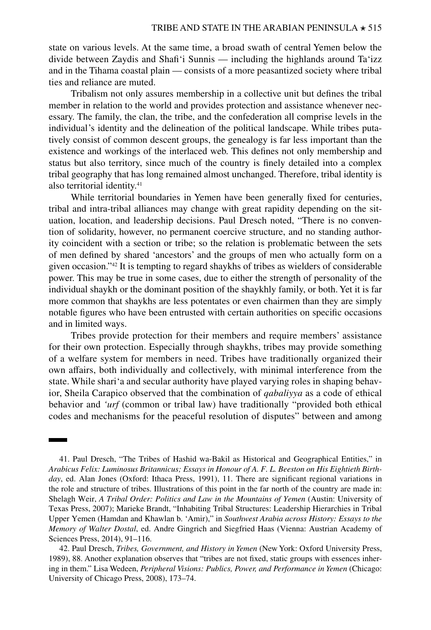state on various levels. At the same time, a broad swath of central Yemen below the divide between Zaydis and Shafi'i Sunnis — including the highlands around Ta'izz and in the Tihama coastal plain — consists of a more peasantized society where tribal ties and reliance are muted.

Tribalism not only assures membership in a collective unit but defines the tribal member in relation to the world and provides protection and assistance whenever necessary. The family, the clan, the tribe, and the confederation all comprise levels in the individual's identity and the delineation of the political landscape. While tribes putatively consist of common descent groups, the genealogy is far less important than the existence and workings of the interlaced web. This defines not only membership and status but also territory, since much of the country is finely detailed into a complex tribal geography that has long remained almost unchanged. Therefore, tribal identity is also territorial identity.<sup>41</sup>

While territorial boundaries in Yemen have been generally fixed for centuries, tribal and intra-tribal alliances may change with great rapidity depending on the situation, location, and leadership decisions. Paul Dresch noted, "There is no convention of solidarity, however, no permanent coercive structure, and no standing authority coincident with a section or tribe; so the relation is problematic between the sets of men defined by shared 'ancestors' and the groups of men who actually form on a given occasion."42 It is tempting to regard shaykhs of tribes as wielders of considerable power. This may be true in some cases, due to either the strength of personality of the individual shaykh or the dominant position of the shaykhly family, or both. Yet it is far more common that shaykhs are less potentates or even chairmen than they are simply notable figures who have been entrusted with certain authorities on specific occasions and in limited ways.

Tribes provide protection for their members and require members' assistance for their own protection. Especially through shaykhs, tribes may provide something of a welfare system for members in need. Tribes have traditionally organized their own affairs, both individually and collectively, with minimal interference from the state. While shari'a and secular authority have played varying roles in shaping behavior, Sheila Carapico observed that the combination of *qabaliyya* as a code of ethical behavior and *'urf* (common or tribal law) have traditionally "provided both ethical codes and mechanisms for the peaceful resolution of disputes" between and among

<sup>41.</sup> Paul Dresch, "The Tribes of Hashid wa-Bakil as Historical and Geographical Entities," in *Arabicus Felix: Luminosus Britannicus; Essays in Honour of A. F. L. Beeston on His Eightieth Birthday*, ed. Alan Jones (Oxford: Ithaca Press, 1991), 11. There are significant regional variations in the role and structure of tribes. Illustrations of this point in the far north of the country are made in: Shelagh Weir, *A [Tribal Order: Politics and Law in the Mountains of Yemen](https://utpress.utexas.edu/books/weitri)* (Austin: University of Texas Press, 2007); Marieke Brandt, "Inhabiting Tribal Structures: Leadership Hierarchies in Tribal Upper Yemen (Hamdan and Khawlan b. 'Amir)," in *[Southwest Arabia across History: Essays to the](https://verlag.oeaw.ac.at/product?info=15573)  [Memory of Walter Dostal](https://verlag.oeaw.ac.at/product?info=15573)*, ed. Andre Gingrich and Siegfried Haas (Vienna: Austrian Academy of Sciences Press, 2014), 91–116.

<sup>42.</sup> Paul Dresch, *[Tribes, Government, and History in Yemen](https://global.oup.com/academic/product/tribes-government-and-history-in-yemen-9780198277903?cc=us&lang=en&)* (New York: Oxford University Press, 1989), 88. Another explanation observes that "tribes are not fixed, static groups with essences inhering in them." Lisa Wedeen, *[Peripheral Visions: Publics, Power, and Performance in Yemen](https://press.uchicago.edu/ucp/books/book/chicago/P/bo5893513.html)* (Chicago: University of Chicago Press, 2008), 173–74.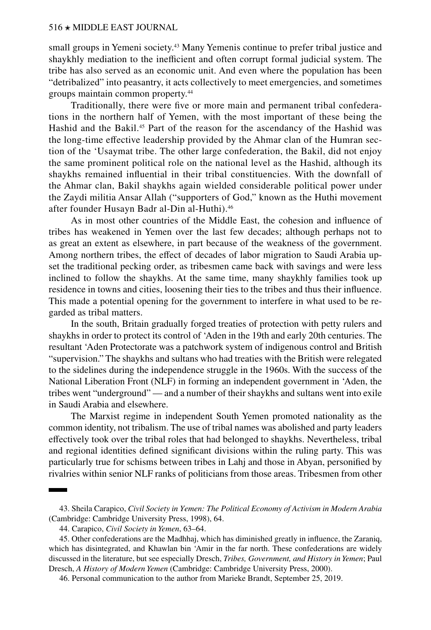small groups in Yemeni society.<sup>43</sup> Many Yemenis continue to prefer tribal justice and shaykhly mediation to the inefficient and often corrupt formal judicial system. The tribe has also served as an economic unit. And even where the population has been "detribalized" into peasantry, it acts collectively to meet emergencies, and sometimes groups maintain common property.44

Traditionally, there were five or more main and permanent tribal confederations in the northern half of Yemen, with the most important of these being the Hashid and the Bakil.45 Part of the reason for the ascendancy of the Hashid was the long-time effective leadership provided by the Ahmar clan of the Humran section of the 'Usaymat tribe. The other large confederation, the Bakil, did not enjoy the same prominent political role on the national level as the Hashid, although its shaykhs remained influential in their tribal constituencies. With the downfall of the Ahmar clan, Bakil shaykhs again wielded considerable political power under the Zaydi militia Ansar Allah ("supporters of God," known as the Huthi movement after founder Husayn Badr al-Din al-Huthi).46

As in most other countries of the Middle East, the cohesion and influence of tribes has weakened in Yemen over the last few decades; although perhaps not to as great an extent as elsewhere, in part because of the weakness of the government. Among northern tribes, the effect of decades of labor migration to Saudi Arabia upset the traditional pecking order, as tribesmen came back with savings and were less inclined to follow the shaykhs. At the same time, many shaykhly families took up residence in towns and cities, loosening their ties to the tribes and thus their influence. This made a potential opening for the government to interfere in what used to be regarded as tribal matters.

In the south, Britain gradually forged treaties of protection with petty rulers and shaykhs in order to protect its control of 'Aden in the 19th and early 20th centuries. The resultant 'Aden Protectorate was a patchwork system of indigenous control and British "supervision." The shaykhs and sultans who had treaties with the British were relegated to the sidelines during the independence struggle in the 1960s. With the success of the National Liberation Front (NLF) in forming an independent government in 'Aden, the tribes went "underground" — and a number of their shaykhs and sultans went into exile in Saudi Arabia and elsewhere.

The Marxist regime in independent South Yemen promoted nationality as the common identity, not tribalism. The use of tribal names was abolished and party leaders effectively took over the tribal roles that had belonged to shaykhs. Nevertheless, tribal and regional identities defined significant divisions within the ruling party. This was particularly true for schisms between tribes in Lahj and those in Abyan, personified by rivalries within senior NLF ranks of politicians from those areas. Tribesmen from other

<sup>43.</sup> Sheila Carapico, *[Civil Society in Yemen: The Political Economy of Activism in Modern Arabia](https://www.cambridge.org/us/academic/subjects/politics-international-relations/politics-general-interest/civil-society-yemen-political-economy-activism-modern-arabia?format=PB)* (Cambridge: Cambridge University Press, 1998), 64.

<sup>44.</sup> Carapico, *Civil Society in Yemen*, 63–64.

<sup>45.</sup> Other confederations are the Madhhaj, which has diminished greatly in influence, the Zaraniq, which has disintegrated, and Khawlan bin 'Amir in the far north. These confederations are widely discussed in the literature, but see especially Dresch, *Tribes, Government, and History in Yemen*; Paul Dresch, *[A History of Modern Yemen](https://www.cambridge.org/us/academic/subjects/history/middle-east-history/history-modern-yemen?format=PB&isbn=9780521794824)* (Cambridge: Cambridge University Press, 2000).

<sup>46.</sup> Personal communication to the author from Marieke Brandt, September 25, 2019.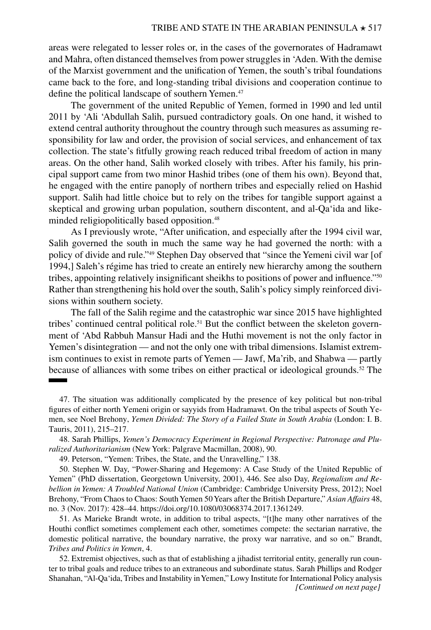areas were relegated to lesser roles or, in the cases of the governorates of Hadramawt and Mahra, often distanced themselves from power struggles in 'Aden. With the demise of the Marxist government and the unification of Yemen, the south's tribal foundations came back to the fore, and long-standing tribal divisions and cooperation continue to define the political landscape of southern Yemen.<sup>47</sup>

The government of the united Republic of Yemen, formed in 1990 and led until 2011 by 'Ali 'Abdullah Salih, pursued contradictory goals. On one hand, it wished to extend central authority throughout the country through such measures as assuming responsibility for law and order, the provision of social services, and enhancement of tax collection. The state's fitfully growing reach reduced tribal freedom of action in many areas. On the other hand, Salih worked closely with tribes. After his family, his principal support came from two minor Hashid tribes (one of them his own). Beyond that, he engaged with the entire panoply of northern tribes and especially relied on Hashid support. Salih had little choice but to rely on the tribes for tangible support against a skeptical and growing urban population, southern discontent, and al-Qa'ida and likeminded religiopolitically based opposition.<sup>48</sup>

As I previously wrote, "After unification, and especially after the 1994 civil war, Salih governed the south in much the same way he had governed the north: with a policy of divide and rule."49 Stephen Day observed that "since the Yemeni civil war [of 1994,] Saleh's régime has tried to create an entirely new hierarchy among the southern tribes, appointing relatively insignificant sheikhs to positions of power and influence."50 Rather than strengthening his hold over the south, Salih's policy simply reinforced divisions within southern society.

The fall of the Salih regime and the catastrophic war since 2015 have highlighted tribes' continued central political role.51 But the conflict between the skeleton government of 'Abd Rabbuh Mansur Hadi and the Huthi movement is not the only factor in Yemen's disintegration — and not the only one with tribal dimensions. Islamist extremism continues to exist in remote parts of Yemen — Jawf, Ma'rib, and Shabwa — partly because of alliances with some tribes on either practical or ideological grounds.52 The

51. As Marieke Brandt wrote, in addition to tribal aspects, "[t]he many other narratives of the Houthi conflict sometimes complement each other, sometimes compete: the sectarian narrative, the domestic political narrative, the boundary narrative, the proxy war narrative, and so on." Brandt, *Tribes and Politics in Yemen*, 4.

52. Extremist objectives, such as that of establishing a jihadist territorial entity, generally run counter to tribal goals and reduce tribes to an extraneous and subordinate status. Sarah Phillips and Rodger Shanahan, ["Al-Qa'ida, Tribes and Instability in Yemen](http://www.jstor.org/stable/resrep10126)," Lowy Institute for International Policy analysis *[Continued on next page]*

<sup>47.</sup> The situation was additionally complicated by the presence of key political but non-tribal figures of either north Yemeni origin or sayyids from Hadramawt. On the tribal aspects of South Yemen, see Noel Brehony, *[Yemen Divided: The Story of a Failed State in South Arabia](https://www.bloomsbury.com/us/yemen-divided-9781780764917/)* (London: I. B. Tauris, 2011), 215–217.

<sup>48.</sup> Sarah Phillips, *[Yemen's Democracy Experiment in Regional Perspective: Patronage and Plu](https://doi.org/10.1057/9780230616486)[ralized Authoritarianism](https://doi.org/10.1057/9780230616486)* (New York: Palgrave Macmillan, 2008), 90.

<sup>49.</sup> Peterson, "Yemen: Tribes, the State, and the Unravelling," 138.

<sup>50.</sup> Stephen W. Day, "Power-Sharing and Hegemony: A Case Study of the United Republic of Yemen" (PhD dissertation, Georgetown University, 2001), 446. See also Day, *[Regionalism and Re](https://doi.org/10.1017/CBO9781139135443)[bellion in Yemen: A Troubled National Union](https://doi.org/10.1017/CBO9781139135443)* (Cambridge: Cambridge University Press, 2012); Noel Brehony, "From Chaos to Chaos: South Yemen 50 Years after the British Departure," *Asian Affairs* 48, no. 3 (Nov. 2017): 428–44. [https://doi.org/10.1080/03068374.2017.1361249.](https://doi.org/10.1080/03068374.2017.1361249)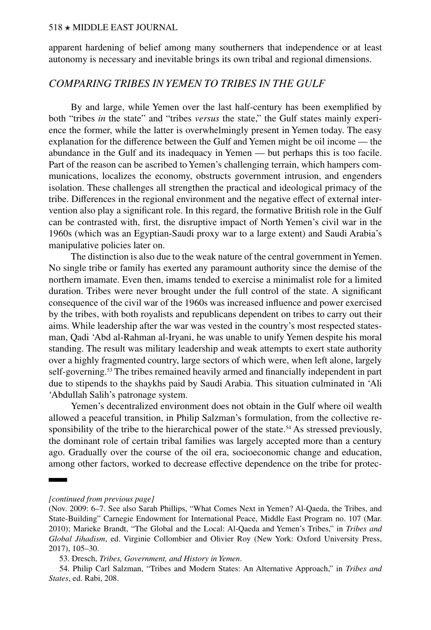apparent hardening of belief among many southerners that independence or at least autonomy is necessary and inevitable brings its own tribal and regional dimensions.

# *COMPARING TRIBES IN YEMEN TO TRIBES IN THE GULF*

By and large, while Yemen over the last half-century has been exemplified by both "tribes *in* the state" and "tribes *versus* the state," the Gulf states mainly experience the former, while the latter is overwhelmingly present in Yemen today. The easy explanation for the difference between the Gulf and Yemen might be oil income — the abundance in the Gulf and its inadequacy in Yemen — but perhaps this is too facile. Part of the reason can be ascribed to Yemen's challenging terrain, which hampers communications, localizes the economy, obstructs government intrusion, and engenders isolation. These challenges all strengthen the practical and ideological primacy of the tribe. Differences in the regional environment and the negative effect of external intervention also play a significant role. In this regard, the formative British role in the Gulf can be contrasted with, first, the disruptive impact of North Yemen's civil war in the 1960s (which was an Egyptian-Saudi proxy war to a large extent) and Saudi Arabia's manipulative policies later on.

The distinction is also due to the weak nature of the central government in Yemen. No single tribe or family has exerted any paramount authority since the demise of the northern imamate. Even then, imams tended to exercise a minimalist role for a limited duration. Tribes were never brought under the full control of the state. A significant consequence of the civil war of the 1960s was increased influence and power exercised by the tribes, with both royalists and republicans dependent on tribes to carry out their aims. While leadership after the war was vested in the country's most respected statesman, Qadi 'Abd al-Rahman al-Iryani, he was unable to unify Yemen despite his moral standing. The result was military leadership and weak attempts to exert state authority over a highly fragmented country, large sectors of which were, when left alone, largely self-governing.<sup>53</sup> The tribes remained heavily armed and financially independent in part due to stipends to the shaykhs paid by Saudi Arabia. This situation culminated in 'Ali 'Abdullah Salih's patronage system.

Yemen's decentralized environment does not obtain in the Gulf where oil wealth allowed a peaceful transition, in Philip Salzman's formulation, from the collective responsibility of the tribe to the hierarchical power of the state.<sup>54</sup> As stressed previously, the dominant role of certain tribal families was largely accepted more than a century ago. Gradually over the course of the oil era, socioeconomic change and education, among other factors, worked to decrease effective dependence on the tribe for protec-

*[continued from previous page]*

<sup>(</sup>Nov. 2009: 6–7. See also Sarah Phillips, ["What Comes Next in Yemen? Al-Qaeda, the Tribes, and](https://carnegieendowment.org/files/yemen_tribes1.pdf) [State-Building"](https://carnegieendowment.org/files/yemen_tribes1.pdf) Carnegie Endowment for International Peace, Middle East Program no. 107 (Mar. 2010); Marieke Brandt, "The Global and the Local: Al-Qaeda and Yemen's Tribes," in *[Tribes and](https://doi.org/10.1093/oso/9780190864545.001.0001)  [Global Jihadism](https://doi.org/10.1093/oso/9780190864545.001.0001)*, ed. Virginie Collombier and Olivier Roy (New York: Oxford University Press, 2017), 105–30.

<sup>53.</sup> Dresch, *Tribes, Government, and History in Yemen*.

<sup>54.</sup> Philip Carl Salzman, "Tribes and Modern States: An Alternative Approach," in *Tribes and States*, ed. Rabi, 208.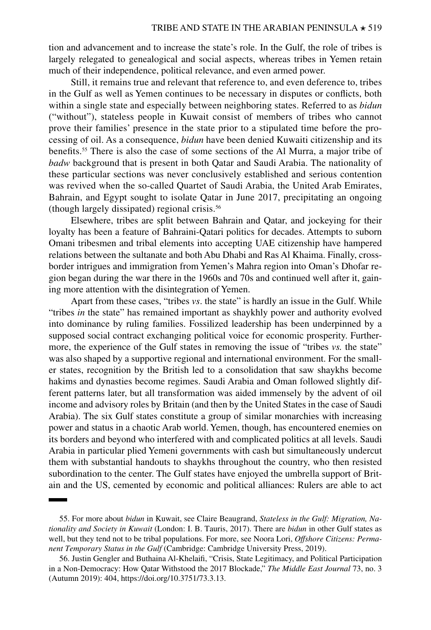tion and advancement and to increase the state's role. In the Gulf, the role of tribes is largely relegated to genealogical and social aspects, whereas tribes in Yemen retain much of their independence, political relevance, and even armed power.

Still, it remains true and relevant that reference to, and even deference to, tribes in the Gulf as well as Yemen continues to be necessary in disputes or conflicts, both within a single state and especially between neighboring states. Referred to as *bidun* ("without"), stateless people in Kuwait consist of members of tribes who cannot prove their families' presence in the state prior to a stipulated time before the processing of oil. As a consequence, *bidun* have been denied Kuwaiti citizenship and its benefits.55 There is also the case of some sections of the Al Murra, a major tribe of *badw* background that is present in both Qatar and Saudi Arabia. The nationality of these particular sections was never conclusively established and serious contention was revived when the so-called Quartet of Saudi Arabia, the United Arab Emirates, Bahrain, and Egypt sought to isolate Qatar in June 2017, precipitating an ongoing (though largely dissipated) regional crisis.56

Elsewhere, tribes are split between Bahrain and Qatar, and jockeying for their loyalty has been a feature of Bahraini-Qatari politics for decades. Attempts to suborn Omani tribesmen and tribal elements into accepting UAE citizenship have hampered relations between the sultanate and both Abu Dhabi and Ras Al Khaima. Finally, crossborder intrigues and immigration from Yemen's Mahra region into Oman's Dhofar region began during the war there in the 1960s and 70s and continued well after it, gaining more attention with the disintegration of Yemen.

Apart from these cases, "tribes *vs*. the state" is hardly an issue in the Gulf. While "tribes *in* the state" has remained important as shaykhly power and authority evolved into dominance by ruling families. Fossilized leadership has been underpinned by a supposed social contract exchanging political voice for economic prosperity. Furthermore, the experience of the Gulf states in removing the issue of "tribes *vs.* the state" was also shaped by a supportive regional and international environment. For the smaller states, recognition by the British led to a consolidation that saw shaykhs become hakims and dynasties become regimes. Saudi Arabia and Oman followed slightly different patterns later, but all transformation was aided immensely by the advent of oil income and advisory roles by Britain (and then by the United States in the case of Saudi Arabia). The six Gulf states constitute a group of similar monarchies with increasing power and status in a chaotic Arab world. Yemen, though, has encountered enemies on its borders and beyond who interfered with and complicated politics at all levels. Saudi Arabia in particular plied Yemeni governments with cash but simultaneously undercut them with substantial handouts to shaykhs throughout the country, who then resisted subordination to the center. The Gulf states have enjoyed the umbrella support of Britain and the US, cemented by economic and political alliances: Rulers are able to act

<sup>55.</sup> For more about *bidun* in Kuwait, see Claire Beaugrand, *Stateless in the Gulf: Migration, Nationality and Society in Kuwait* (London: I. B. Tauris, 2017). There are *bidun* in other Gulf states as well, but they tend not to be tribal populations. For more, see Noora Lori, *[Offshore Citizens: Perma](https://doi.org/10.1017/9781108632560)[nent Temporary Status in the Gulf](https://doi.org/10.1017/9781108632560)* (Cambridge: Cambridge University Press, 2019).

<sup>56.</sup> Justin Gengler and Buthaina Al-Khelaifi, "Crisis, State Legitimacy, and Political Participation in a Non-Democracy: How Qatar Withstood the 2017 Blockade," *The Middle East Journal* 73, no. 3 (Autumn 2019): 404,<https://doi.org/10.3751/73.3.13>.